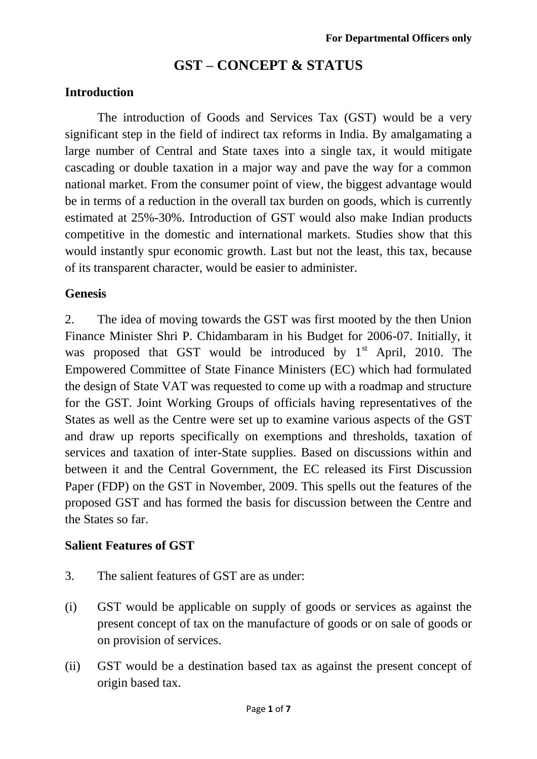# **GST – CONCEPT & STATUS**

#### **Introduction**

The introduction of Goods and Services Tax (GST) would be a very significant step in the field of indirect tax reforms in India. By amalgamating a large number of Central and State taxes into a single tax, it would mitigate cascading or double taxation in a major way and pave the way for a common national market. From the consumer point of view, the biggest advantage would be in terms of a reduction in the overall tax burden on goods, which is currently estimated at 25%-30%. Introduction of GST would also make Indian products competitive in the domestic and international markets. Studies show that this would instantly spur economic growth. Last but not the least, this tax, because of its transparent character, would be easier to administer.

#### **Genesis**

2. The idea of moving towards the GST was first mooted by the then Union Finance Minister Shri P. Chidambaram in his Budget for 2006-07. Initially, it was proposed that GST would be introduced by  $1<sup>st</sup>$  April, 2010. The Empowered Committee of State Finance Ministers (EC) which had formulated the design of State VAT was requested to come up with a roadmap and structure for the GST. Joint Working Groups of officials having representatives of the States as well as the Centre were set up to examine various aspects of the GST and draw up reports specifically on exemptions and thresholds, taxation of services and taxation of inter-State supplies. Based on discussions within and between it and the Central Government, the EC released its First Discussion Paper (FDP) on the GST in November, 2009. This spells out the features of the proposed GST and has formed the basis for discussion between the Centre and the States so far.

#### **Salient Features of GST**

- 3. The salient features of GST are as under:
- (i) GST would be applicable on supply of goods or services as against the present concept of tax on the manufacture of goods or on sale of goods or on provision of services.
- (ii) GST would be a destination based tax as against the present concept of origin based tax.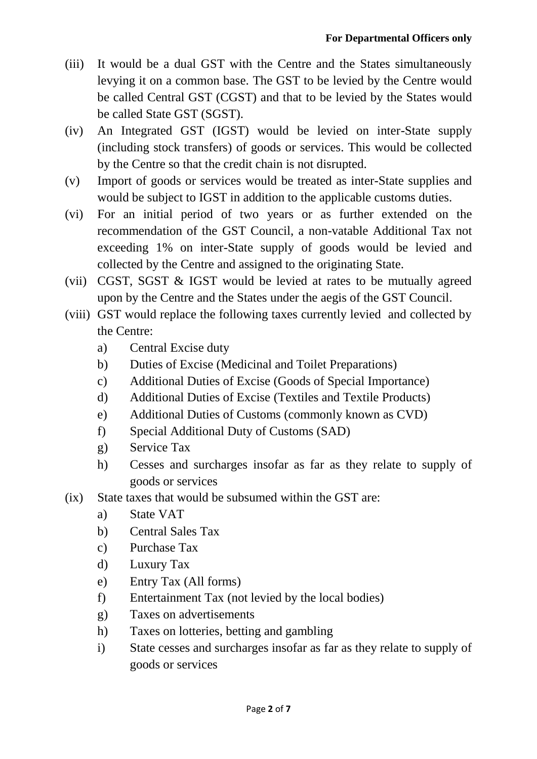- (iii) It would be a dual GST with the Centre and the States simultaneously levying it on a common base. The GST to be levied by the Centre would be called Central GST (CGST) and that to be levied by the States would be called State GST (SGST).
- (iv) An Integrated GST (IGST) would be levied on inter-State supply (including stock transfers) of goods or services. This would be collected by the Centre so that the credit chain is not disrupted.
- (v) Import of goods or services would be treated as inter-State supplies and would be subject to IGST in addition to the applicable customs duties.
- (vi) For an initial period of two years or as further extended on the recommendation of the GST Council, a non-vatable Additional Tax not exceeding 1% on inter-State supply of goods would be levied and collected by the Centre and assigned to the originating State.
- (vii) CGST, SGST & IGST would be levied at rates to be mutually agreed upon by the Centre and the States under the aegis of the GST Council.
- (viii) GST would replace the following taxes currently levied and collected by the Centre:
	- a) Central Excise duty
	- b) Duties of Excise (Medicinal and Toilet Preparations)
	- c) Additional Duties of Excise (Goods of Special Importance)
	- d) Additional Duties of Excise (Textiles and Textile Products)
	- e) Additional Duties of Customs (commonly known as CVD)
	- f) Special Additional Duty of Customs (SAD)
	- g) Service Tax
	- h) Cesses and surcharges insofar as far as they relate to supply of goods or services
- (ix) State taxes that would be subsumed within the GST are:
	- a) State VAT
	- b) Central Sales Tax
	- c) Purchase Tax
	- d) Luxury Tax
	- e) Entry Tax (All forms)
	- f) Entertainment Tax (not levied by the local bodies)
	- g) Taxes on advertisements
	- h) Taxes on lotteries, betting and gambling
	- i) State cesses and surcharges insofar as far as they relate to supply of goods or services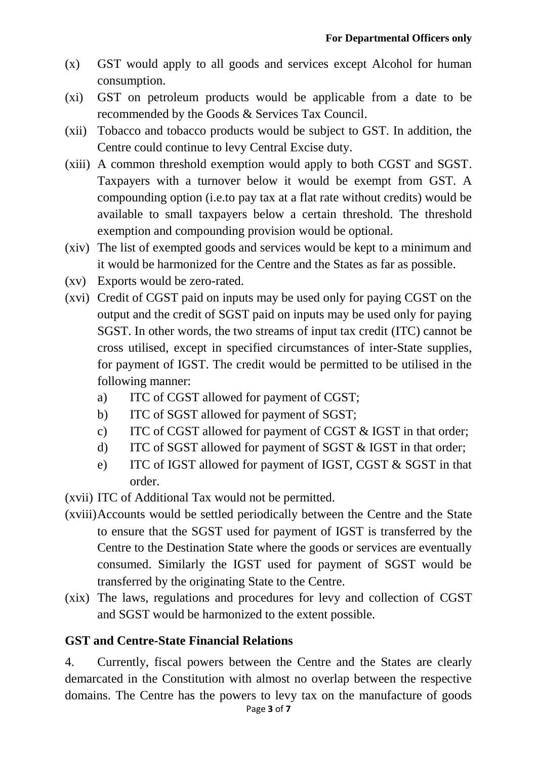- (x) GST would apply to all goods and services except Alcohol for human consumption.
- (xi) GST on petroleum products would be applicable from a date to be recommended by the Goods & Services Tax Council.
- (xii) Tobacco and tobacco products would be subject to GST. In addition, the Centre could continue to levy Central Excise duty.
- (xiii) A common threshold exemption would apply to both CGST and SGST. Taxpayers with a turnover below it would be exempt from GST. A compounding option (i.e.to pay tax at a flat rate without credits) would be available to small taxpayers below a certain threshold. The threshold exemption and compounding provision would be optional.
- (xiv) The list of exempted goods and services would be kept to a minimum and it would be harmonized for the Centre and the States as far as possible.
- (xv) Exports would be zero-rated.
- (xvi) Credit of CGST paid on inputs may be used only for paying CGST on the output and the credit of SGST paid on inputs may be used only for paying SGST. In other words, the two streams of input tax credit (ITC) cannot be cross utilised, except in specified circumstances of inter-State supplies, for payment of IGST. The credit would be permitted to be utilised in the following manner:
	- a) ITC of CGST allowed for payment of CGST;
	- b) ITC of SGST allowed for payment of SGST;
	- c) ITC of CGST allowed for payment of CGST & IGST in that order;
	- d) ITC of SGST allowed for payment of SGST & IGST in that order;
	- e) ITC of IGST allowed for payment of IGST, CGST & SGST in that order.
- (xvii) ITC of Additional Tax would not be permitted.
- (xviii)Accounts would be settled periodically between the Centre and the State to ensure that the SGST used for payment of IGST is transferred by the Centre to the Destination State where the goods or services are eventually consumed. Similarly the IGST used for payment of SGST would be transferred by the originating State to the Centre.
- (xix) The laws, regulations and procedures for levy and collection of CGST and SGST would be harmonized to the extent possible.

#### **GST and Centre-State Financial Relations**

4. Currently, fiscal powers between the Centre and the States are clearly demarcated in the Constitution with almost no overlap between the respective domains. The Centre has the powers to levy tax on the manufacture of goods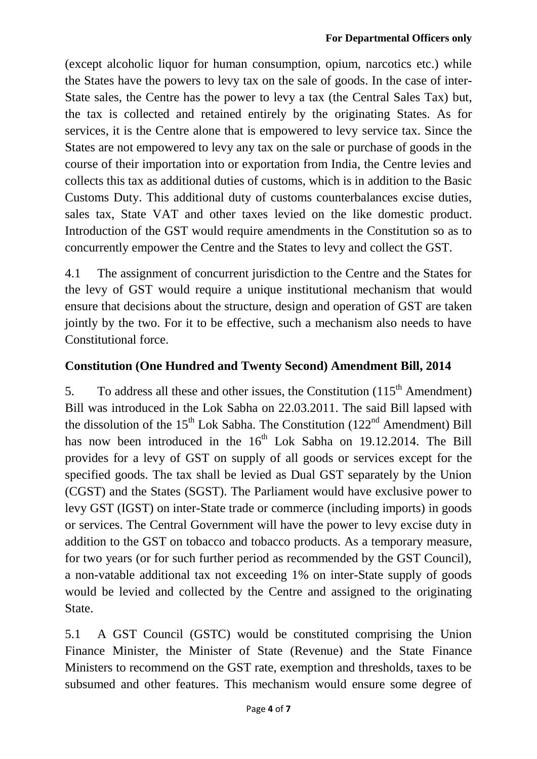(except alcoholic liquor for human consumption, opium, narcotics etc.) while the States have the powers to levy tax on the sale of goods. In the case of inter-State sales, the Centre has the power to levy a tax (the Central Sales Tax) but, the tax is collected and retained entirely by the originating States. As for services, it is the Centre alone that is empowered to levy service tax. Since the States are not empowered to levy any tax on the sale or purchase of goods in the course of their importation into or exportation from India, the Centre levies and collects this tax as additional duties of customs, which is in addition to the Basic Customs Duty. This additional duty of customs counterbalances excise duties, sales tax, State VAT and other taxes levied on the like domestic product. Introduction of the GST would require amendments in the Constitution so as to concurrently empower the Centre and the States to levy and collect the GST.

4.1 The assignment of concurrent jurisdiction to the Centre and the States for the levy of GST would require a unique institutional mechanism that would ensure that decisions about the structure, design and operation of GST are taken jointly by the two. For it to be effective, such a mechanism also needs to have Constitutional force.

## **Constitution (One Hundred and Twenty Second) Amendment Bill, 2014**

5. To address all these and other issues, the Constitution  $(115<sup>th</sup>$  Amendment) Bill was introduced in the Lok Sabha on 22.03.2011. The said Bill lapsed with the dissolution of the  $15<sup>th</sup>$  Lok Sabha. The Constitution ( $122<sup>nd</sup>$  Amendment) Bill has now been introduced in the  $16<sup>th</sup>$  Lok Sabha on 19.12.2014. The Bill provides for a levy of GST on supply of all goods or services except for the specified goods. The tax shall be levied as Dual GST separately by the Union (CGST) and the States (SGST). The Parliament would have exclusive power to levy GST (IGST) on inter-State trade or commerce (including imports) in goods or services. The Central Government will have the power to levy excise duty in addition to the GST on tobacco and tobacco products. As a temporary measure, for two years (or for such further period as recommended by the GST Council), a non-vatable additional tax not exceeding 1% on inter-State supply of goods would be levied and collected by the Centre and assigned to the originating State.

5.1 A GST Council (GSTC) would be constituted comprising the Union Finance Minister, the Minister of State (Revenue) and the State Finance Ministers to recommend on the GST rate, exemption and thresholds, taxes to be subsumed and other features. This mechanism would ensure some degree of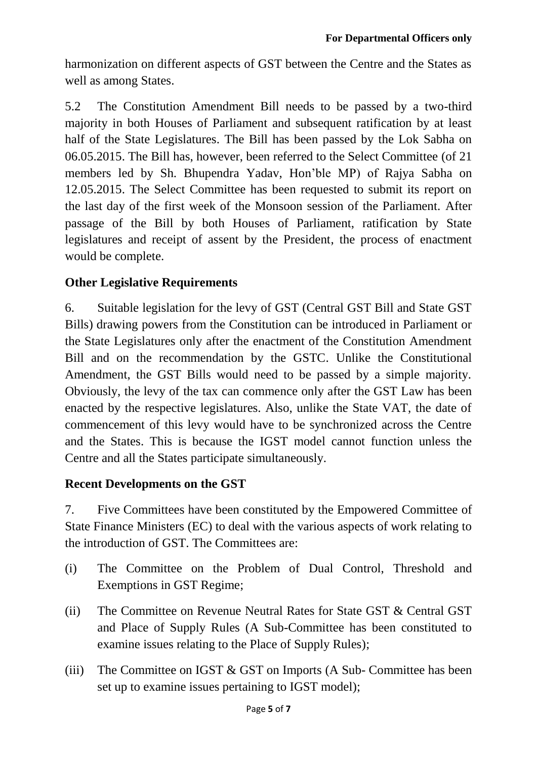harmonization on different aspects of GST between the Centre and the States as well as among States.

5.2 The Constitution Amendment Bill needs to be passed by a two-third majority in both Houses of Parliament and subsequent ratification by at least half of the State Legislatures. The Bill has been passed by the Lok Sabha on 06.05.2015. The Bill has, however, been referred to the Select Committee (of 21 members led by Sh. Bhupendra Yadav, Hon'ble MP) of Rajya Sabha on 12.05.2015. The Select Committee has been requested to submit its report on the last day of the first week of the Monsoon session of the Parliament. After passage of the Bill by both Houses of Parliament, ratification by State legislatures and receipt of assent by the President, the process of enactment would be complete.

### **Other Legislative Requirements**

6. Suitable legislation for the levy of GST (Central GST Bill and State GST Bills) drawing powers from the Constitution can be introduced in Parliament or the State Legislatures only after the enactment of the Constitution Amendment Bill and on the recommendation by the GSTC. Unlike the Constitutional Amendment, the GST Bills would need to be passed by a simple majority. Obviously, the levy of the tax can commence only after the GST Law has been enacted by the respective legislatures. Also, unlike the State VAT, the date of commencement of this levy would have to be synchronized across the Centre and the States. This is because the IGST model cannot function unless the Centre and all the States participate simultaneously.

#### **Recent Developments on the GST**

7. Five Committees have been constituted by the Empowered Committee of State Finance Ministers (EC) to deal with the various aspects of work relating to the introduction of GST. The Committees are:

- (i) The Committee on the Problem of Dual Control, Threshold and Exemptions in GST Regime;
- (ii) The Committee on Revenue Neutral Rates for State GST & Central GST and Place of Supply Rules (A Sub-Committee has been constituted to examine issues relating to the Place of Supply Rules);
- (iii) The Committee on IGST  $& GST$  on Imports (A Sub-Committee has been set up to examine issues pertaining to IGST model);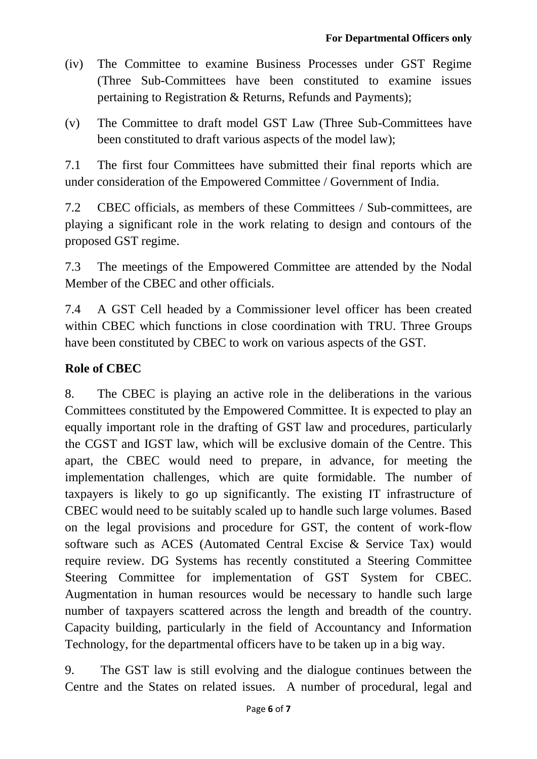- (iv) The Committee to examine Business Processes under GST Regime (Three Sub-Committees have been constituted to examine issues pertaining to Registration & Returns, Refunds and Payments);
- (v) The Committee to draft model GST Law (Three Sub-Committees have been constituted to draft various aspects of the model law);

7.1 The first four Committees have submitted their final reports which are under consideration of the Empowered Committee / Government of India.

7.2 CBEC officials, as members of these Committees / Sub-committees, are playing a significant role in the work relating to design and contours of the proposed GST regime.

7.3 The meetings of the Empowered Committee are attended by the Nodal Member of the CBEC and other officials.

7.4 A GST Cell headed by a Commissioner level officer has been created within CBEC which functions in close coordination with TRU. Three Groups have been constituted by CBEC to work on various aspects of the GST.

## **Role of CBEC**

8. The CBEC is playing an active role in the deliberations in the various Committees constituted by the Empowered Committee. It is expected to play an equally important role in the drafting of GST law and procedures, particularly the CGST and IGST law, which will be exclusive domain of the Centre. This apart, the CBEC would need to prepare, in advance, for meeting the implementation challenges, which are quite formidable. The number of taxpayers is likely to go up significantly. The existing IT infrastructure of CBEC would need to be suitably scaled up to handle such large volumes. Based on the legal provisions and procedure for GST, the content of work-flow software such as ACES (Automated Central Excise & Service Tax) would require review. DG Systems has recently constituted a Steering Committee Steering Committee for implementation of GST System for CBEC. Augmentation in human resources would be necessary to handle such large number of taxpayers scattered across the length and breadth of the country. Capacity building, particularly in the field of Accountancy and Information Technology, for the departmental officers have to be taken up in a big way.

9. The GST law is still evolving and the dialogue continues between the Centre and the States on related issues. A number of procedural, legal and